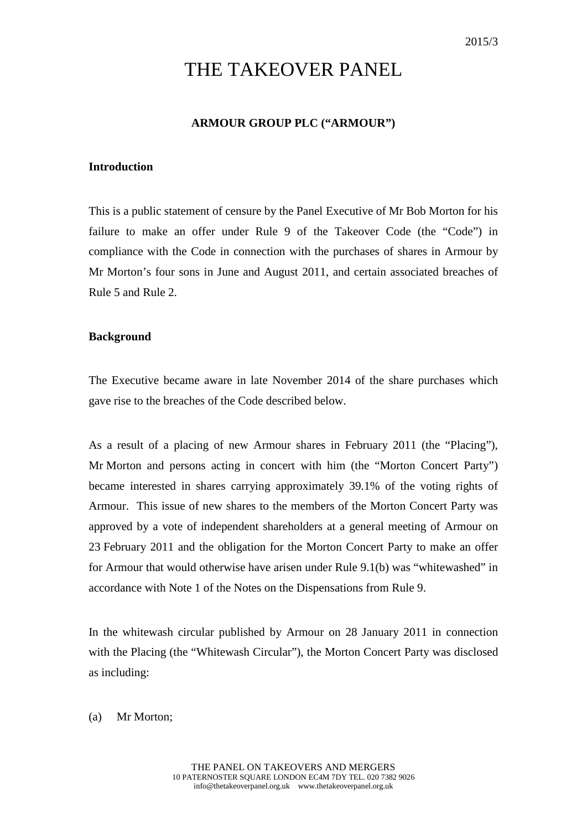# THE TAKEOVER PANEL

# **ARMOUR GROUP PLC ("ARMOUR")**

# **Introduction**

This is a public statement of censure by the Panel Executive of Mr Bob Morton for his failure to make an offer under Rule 9 of the Takeover Code (the "Code") in compliance with the Code in connection with the purchases of shares in Armour by Mr Morton's four sons in June and August 2011, and certain associated breaches of Rule 5 and Rule 2.

#### **Background**

The Executive became aware in late November 2014 of the share purchases which gave rise to the breaches of the Code described below.

As a result of a placing of new Armour shares in February 2011 (the "Placing"), Mr Morton and persons acting in concert with him (the "Morton Concert Party") became interested in shares carrying approximately 39.1% of the voting rights of Armour. This issue of new shares to the members of the Morton Concert Party was approved by a vote of independent shareholders at a general meeting of Armour on 23 February 2011 and the obligation for the Morton Concert Party to make an offer for Armour that would otherwise have arisen under Rule 9.1(b) was "whitewashed" in accordance with Note 1 of the Notes on the Dispensations from Rule 9.

In the whitewash circular published by Armour on 28 January 2011 in connection with the Placing (the "Whitewash Circular"), the Morton Concert Party was disclosed as including:

(a) Mr Morton;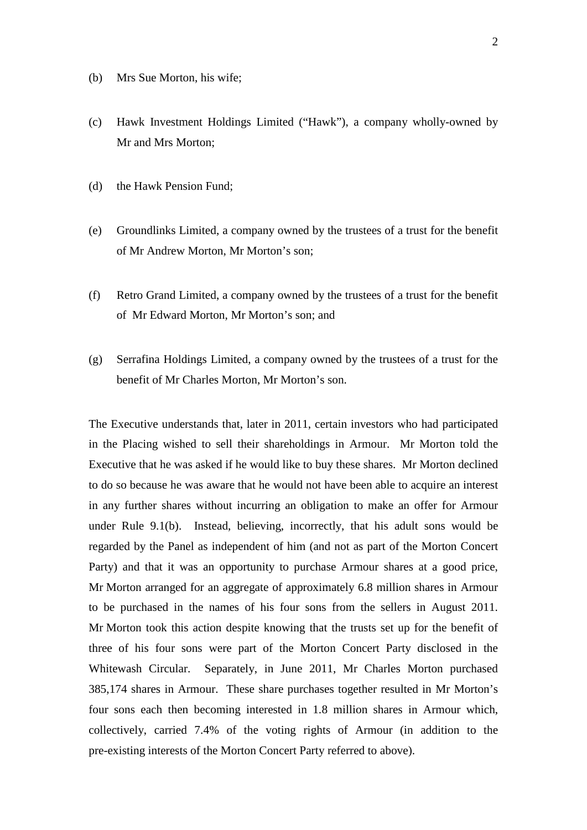- (b) Mrs Sue Morton, his wife;
- (c) Hawk Investment Holdings Limited ("Hawk"), a company wholly-owned by Mr and Mrs Morton;
- (d) the Hawk Pension Fund;
- (e) Groundlinks Limited, a company owned by the trustees of a trust for the benefit of Mr Andrew Morton, Mr Morton's son;
- (f) Retro Grand Limited, a company owned by the trustees of a trust for the benefit of Mr Edward Morton, Mr Morton's son; and
- (g) Serrafina Holdings Limited, a company owned by the trustees of a trust for the benefit of Mr Charles Morton, Mr Morton's son.

The Executive understands that, later in 2011, certain investors who had participated in the Placing wished to sell their shareholdings in Armour. Mr Morton told the Executive that he was asked if he would like to buy these shares. Mr Morton declined to do so because he was aware that he would not have been able to acquire an interest in any further shares without incurring an obligation to make an offer for Armour under Rule 9.1(b). Instead, believing, incorrectly, that his adult sons would be regarded by the Panel as independent of him (and not as part of the Morton Concert Party) and that it was an opportunity to purchase Armour shares at a good price, Mr Morton arranged for an aggregate of approximately 6.8 million shares in Armour to be purchased in the names of his four sons from the sellers in August 2011. Mr Morton took this action despite knowing that the trusts set up for the benefit of three of his four sons were part of the Morton Concert Party disclosed in the Whitewash Circular. Separately, in June 2011, Mr Charles Morton purchased 385,174 shares in Armour. These share purchases together resulted in Mr Morton's four sons each then becoming interested in 1.8 million shares in Armour which, collectively, carried 7.4% of the voting rights of Armour (in addition to the pre-existing interests of the Morton Concert Party referred to above).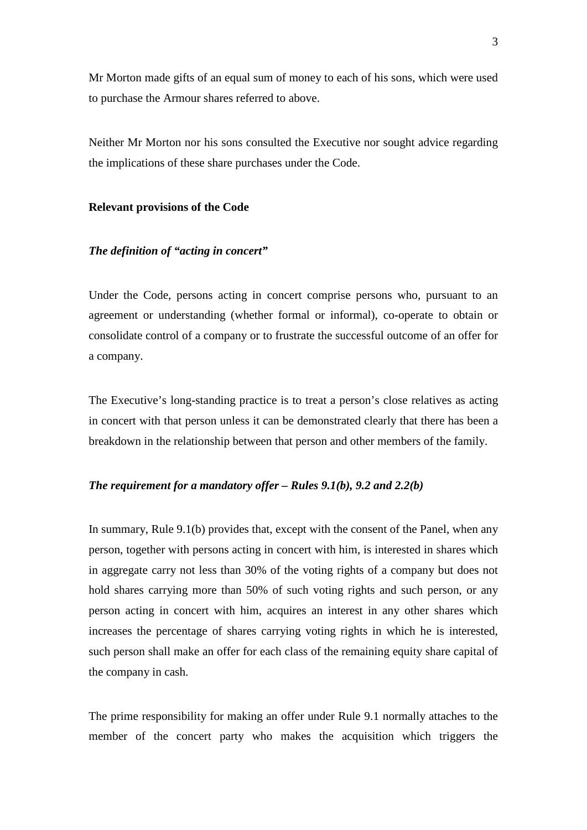Mr Morton made gifts of an equal sum of money to each of his sons, which were used to purchase the Armour shares referred to above.

Neither Mr Morton nor his sons consulted the Executive nor sought advice regarding the implications of these share purchases under the Code.

#### **Relevant provisions of the Code**

### *The definition of "acting in concert"*

Under the Code, persons acting in concert comprise persons who, pursuant to an agreement or understanding (whether formal or informal), co-operate to obtain or consolidate control of a company or to frustrate the successful outcome of an offer for a company.

The Executive's long-standing practice is to treat a person's close relatives as acting in concert with that person unless it can be demonstrated clearly that there has been a breakdown in the relationship between that person and other members of the family.

# *The requirement for a mandatory offer – Rules 9.1(b), 9.2 and 2.2(b)*

In summary, Rule 9.1(b) provides that, except with the consent of the Panel, when any person, together with persons acting in concert with him, is interested in shares which in aggregate carry not less than 30% of the voting rights of a company but does not hold shares carrying more than 50% of such voting rights and such person, or any person acting in concert with him, acquires an interest in any other shares which increases the percentage of shares carrying voting rights in which he is interested, such person shall make an offer for each class of the remaining equity share capital of the company in cash.

The prime responsibility for making an offer under Rule 9.1 normally attaches to the member of the concert party who makes the acquisition which triggers the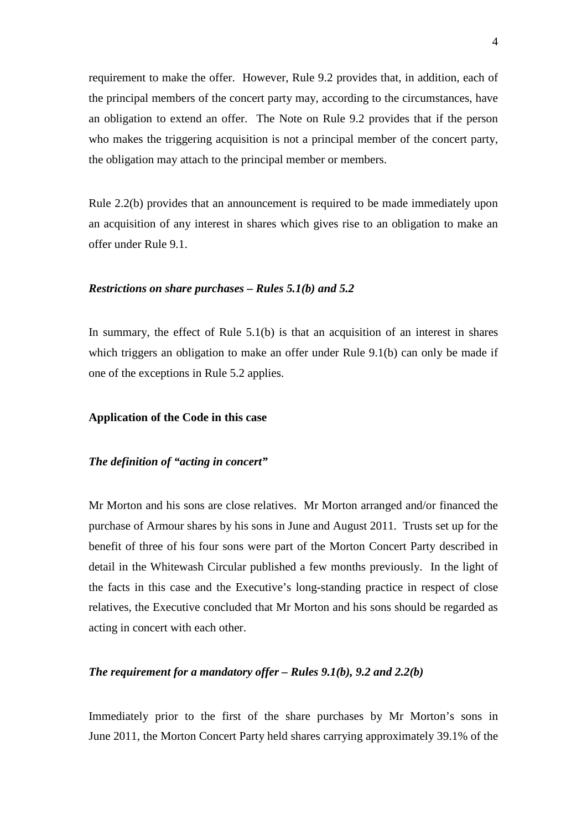requirement to make the offer. However, Rule 9.2 provides that, in addition, each of the principal members of the concert party may, according to the circumstances, have an obligation to extend an offer. The Note on Rule 9.2 provides that if the person who makes the triggering acquisition is not a principal member of the concert party, the obligation may attach to the principal member or members.

Rule 2.2(b) provides that an announcement is required to be made immediately upon an acquisition of any interest in shares which gives rise to an obligation to make an offer under Rule 9.1.

### *Restrictions on share purchases – Rules 5.1(b) and 5.2*

In summary, the effect of Rule  $5.1(b)$  is that an acquisition of an interest in shares which triggers an obligation to make an offer under Rule 9.1(b) can only be made if one of the exceptions in Rule 5.2 applies.

# **Application of the Code in this case**

# *The definition of "acting in concert"*

Mr Morton and his sons are close relatives. Mr Morton arranged and/or financed the purchase of Armour shares by his sons in June and August 2011. Trusts set up for the benefit of three of his four sons were part of the Morton Concert Party described in detail in the Whitewash Circular published a few months previously. In the light of the facts in this case and the Executive's long-standing practice in respect of close relatives, the Executive concluded that Mr Morton and his sons should be regarded as acting in concert with each other.

#### *The requirement for a mandatory offer – Rules 9.1(b), 9.2 and 2.2(b)*

Immediately prior to the first of the share purchases by Mr Morton's sons in June 2011, the Morton Concert Party held shares carrying approximately 39.1% of the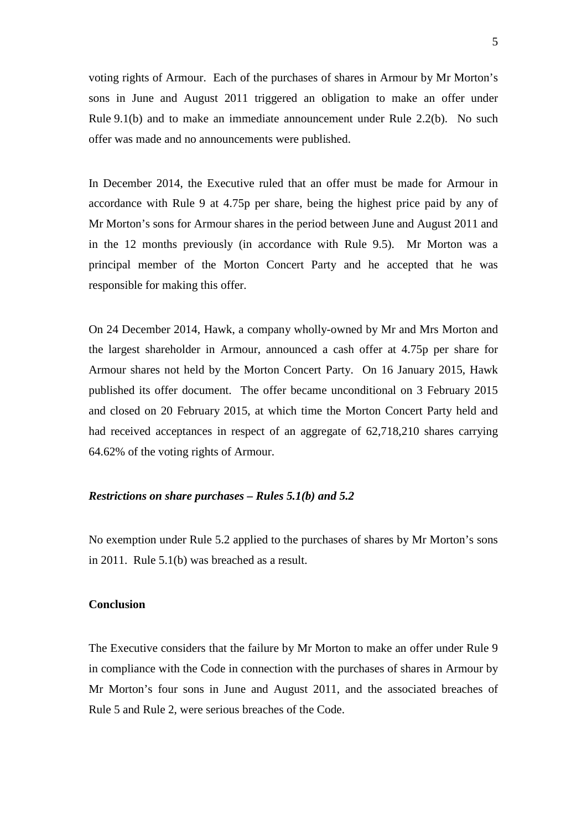voting rights of Armour. Each of the purchases of shares in Armour by Mr Morton's sons in June and August 2011 triggered an obligation to make an offer under Rule 9.1(b) and to make an immediate announcement under Rule 2.2(b). No such offer was made and no announcements were published.

In December 2014, the Executive ruled that an offer must be made for Armour in accordance with Rule 9 at 4.75p per share, being the highest price paid by any of Mr Morton's sons for Armour shares in the period between June and August 2011 and in the 12 months previously (in accordance with Rule 9.5). Mr Morton was a principal member of the Morton Concert Party and he accepted that he was responsible for making this offer.

On 24 December 2014, Hawk, a company wholly-owned by Mr and Mrs Morton and the largest shareholder in Armour, announced a cash offer at 4.75p per share for Armour shares not held by the Morton Concert Party. On 16 January 2015, Hawk published its offer document. The offer became unconditional on 3 February 2015 and closed on 20 February 2015, at which time the Morton Concert Party held and had received acceptances in respect of an aggregate of 62,718,210 shares carrying 64.62% of the voting rights of Armour.

## *Restrictions on share purchases – Rules 5.1(b) and 5.2*

No exemption under Rule 5.2 applied to the purchases of shares by Mr Morton's sons in 2011. Rule 5.1(b) was breached as a result.

# **Conclusion**

The Executive considers that the failure by Mr Morton to make an offer under Rule 9 in compliance with the Code in connection with the purchases of shares in Armour by Mr Morton's four sons in June and August 2011, and the associated breaches of Rule 5 and Rule 2, were serious breaches of the Code.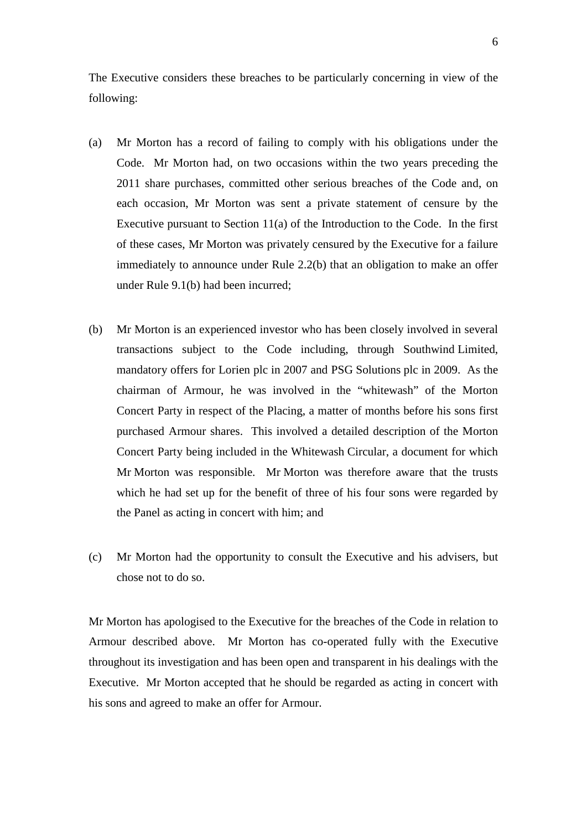The Executive considers these breaches to be particularly concerning in view of the following:

- (a) Mr Morton has a record of failing to comply with his obligations under the Code. Mr Morton had, on two occasions within the two years preceding the 2011 share purchases, committed other serious breaches of the Code and, on each occasion, Mr Morton was sent a private statement of censure by the Executive pursuant to Section 11(a) of the Introduction to the Code. In the first of these cases, Mr Morton was privately censured by the Executive for a failure immediately to announce under Rule 2.2(b) that an obligation to make an offer under Rule 9.1(b) had been incurred;
- (b) Mr Morton is an experienced investor who has been closely involved in several transactions subject to the Code including, through Southwind Limited, mandatory offers for Lorien plc in 2007 and PSG Solutions plc in 2009. As the chairman of Armour, he was involved in the "whitewash" of the Morton Concert Party in respect of the Placing, a matter of months before his sons first purchased Armour shares. This involved a detailed description of the Morton Concert Party being included in the Whitewash Circular, a document for which Mr Morton was responsible. Mr Morton was therefore aware that the trusts which he had set up for the benefit of three of his four sons were regarded by the Panel as acting in concert with him; and
- (c) Mr Morton had the opportunity to consult the Executive and his advisers, but chose not to do so.

Mr Morton has apologised to the Executive for the breaches of the Code in relation to Armour described above. Mr Morton has co-operated fully with the Executive throughout its investigation and has been open and transparent in his dealings with the Executive. Mr Morton accepted that he should be regarded as acting in concert with his sons and agreed to make an offer for Armour.